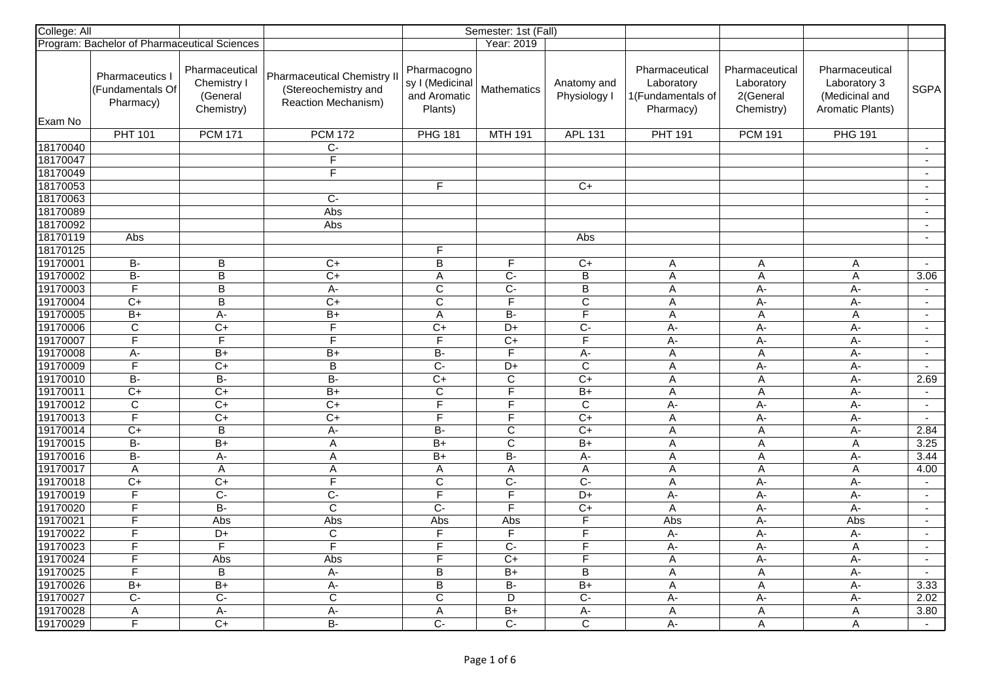| College: All         |                                                |                                                         | Semester: 1st (Fall)                                                              |                                                           |                               |                             |                                                                |                                                         |                                                                             |                |
|----------------------|------------------------------------------------|---------------------------------------------------------|-----------------------------------------------------------------------------------|-----------------------------------------------------------|-------------------------------|-----------------------------|----------------------------------------------------------------|---------------------------------------------------------|-----------------------------------------------------------------------------|----------------|
|                      | Program: Bachelor of Pharmaceutical Sciences   |                                                         |                                                                                   |                                                           | Year: 2019                    |                             |                                                                |                                                         |                                                                             |                |
|                      | Pharmaceutics<br>(Fundamentals Of<br>Pharmacy) | Pharmaceutical<br>Chemistry I<br>(General<br>Chemistry) | <b>Pharmaceutical Chemistry II</b><br>(Stereochemistry and<br>Reaction Mechanism) | Pharmacogno<br>sy I (Medicinal<br>and Aromatic<br>Plants) | <b>Mathematics</b>            | Anatomy and<br>Physiology I | Pharmaceutical<br>Laboratory<br>1(Fundamentals of<br>Pharmacy) | Pharmaceutical<br>Laboratory<br>2(General<br>Chemistry) | Pharmaceutical<br>Laboratory 3<br>(Medicinal and<br><b>Aromatic Plants)</b> | <b>SGPA</b>    |
| Exam No              | <b>PHT 101</b>                                 | <b>PCM 171</b>                                          | <b>PCM 172</b>                                                                    | <b>PHG 181</b>                                            | <b>MTH 191</b>                | <b>APL 131</b>              | <b>PHT 191</b>                                                 |                                                         |                                                                             |                |
| 18170040             |                                                |                                                         | $C -$                                                                             |                                                           |                               |                             |                                                                | <b>PCM 191</b>                                          | <b>PHG 191</b>                                                              | $\sim$         |
| 18170047             |                                                |                                                         | F                                                                                 |                                                           |                               |                             |                                                                |                                                         |                                                                             | $\sim$         |
| 18170049             |                                                |                                                         | $\overline{\mathsf{F}}$                                                           |                                                           |                               |                             |                                                                |                                                         |                                                                             | $\sim$         |
| 18170053             |                                                |                                                         |                                                                                   | F                                                         |                               | $C+$                        |                                                                |                                                         |                                                                             | $\overline{a}$ |
| 18170063             |                                                |                                                         | $\overline{C}$                                                                    |                                                           |                               |                             |                                                                |                                                         |                                                                             | $\overline{a}$ |
| 18170089             |                                                |                                                         | Abs                                                                               |                                                           |                               |                             |                                                                |                                                         |                                                                             | $\sim$         |
| 18170092             |                                                |                                                         | Abs                                                                               |                                                           |                               |                             |                                                                |                                                         |                                                                             | $\sim$         |
| 18170119             | Abs                                            |                                                         |                                                                                   |                                                           |                               | Abs                         |                                                                |                                                         |                                                                             | $\blacksquare$ |
| 18170125             |                                                |                                                         |                                                                                   | F                                                         |                               |                             |                                                                |                                                         |                                                                             |                |
| 19170001             | B-                                             | B                                                       | $C+$                                                                              | $\sf B$                                                   | F                             | $C+$                        | Α                                                              | Α                                                       | Α                                                                           | $\sim$         |
| 19170002             | $B -$                                          | $\overline{B}$                                          | $\overline{C+}$                                                                   | A                                                         | $\overline{C}$ -              | $\overline{B}$              | A                                                              | A                                                       | A                                                                           | 3.06           |
| 19170003             | $\overline{\mathsf{F}}$                        | $\overline{B}$                                          | $A -$                                                                             | $\overline{C}$                                            | $\overline{C}$                | $\overline{B}$              | A                                                              | A-                                                      | A-                                                                          | $\sim$         |
| 19170004             | $C+$                                           | B                                                       | $\overline{C}$                                                                    | $\overline{c}$                                            | $\overline{F}$                | $\overline{C}$              | A                                                              | A-                                                      | A-                                                                          | $\sim$         |
| 19170005             | $\overline{B+}$                                | $\overline{A}$                                          | $\overline{B+}$                                                                   | A                                                         | $\overline{B}$                | $\overline{F}$              | A                                                              | $\mathsf A$                                             | A                                                                           | $\blacksquare$ |
| 19170006             | $\overline{C}$                                 | $\overline{C}$                                          | $\overline{F}$                                                                    | $\overline{C}$                                            | $D+$                          | $\overline{C}$              | $A -$                                                          | $A -$                                                   | $A -$                                                                       | $\sim$         |
| 19170007             | $\overline{\mathsf{F}}$                        | F                                                       | $\overline{\mathsf{F}}$                                                           | $\overline{\mathsf{F}}$                                   | $C+$                          | $\overline{F}$              | $\overline{A}$                                                 | A-                                                      | $A -$                                                                       | $\blacksquare$ |
| 19170008             | $\overline{A}$ -                               | $B+$                                                    | $\overline{B+}$                                                                   | $\overline{B}$                                            | $\overline{F}$                | A-                          | A                                                              | $\overline{A}$                                          | A-                                                                          | $\sim$         |
| 19170009             | $\overline{\mathsf{F}}$                        | $C+$                                                    | $\overline{B}$                                                                    | $\overline{C}$                                            | D+                            | $\overline{C}$              | A                                                              | A-                                                      | $A -$                                                                       | $\sim$         |
| 19170010             | $\overline{B}$                                 | $B -$                                                   | B-                                                                                | $C+$                                                      | C                             | $C+$                        | A                                                              | A                                                       | $A -$                                                                       | 2.69           |
| 19170011             | $C+$                                           | $\overline{C}$                                          | $\overline{B+}$                                                                   | $\mathbf C$                                               | F                             | $B+$                        | A                                                              | $\mathsf A$                                             | $A -$                                                                       | $\sim$         |
| 19170012             | $\overline{C}$                                 | $\overline{C}$                                          | $\overline{C}$                                                                    | F                                                         | F                             | $\overline{C}$              | $A-$                                                           | A-                                                      | A-                                                                          | $\sim$         |
| 19170013             | $\overline{\mathsf{F}}$                        | $\overline{C+}$                                         | $C+$                                                                              | F                                                         | F.                            | $\overline{C}$              | A                                                              | A-                                                      | A-                                                                          | $\sim$         |
| 19170014             | $C+$                                           | $\mathbf B$                                             | A-                                                                                | B-                                                        | $\mathbf C$                   | $C+$                        | A                                                              | A                                                       | A-                                                                          | 2.84           |
| 19170015             | $\overline{B}$                                 | $\overline{B+}$                                         | $\overline{A}$                                                                    | $B+$                                                      | $\overline{C}$                | $B+$                        | $\overline{A}$                                                 | $\overline{A}$                                          | A                                                                           | 3.25           |
| 19170016             | $\overline{B}$                                 | $A-$                                                    | A                                                                                 | $B+$                                                      | B-                            | A-                          | $\mathsf A$                                                    | $\mathsf A$                                             | A-                                                                          | 3.44           |
| 19170017             | $\overline{A}$                                 | $\overline{A}$                                          | $\boldsymbol{\mathsf{A}}$                                                         | $\overline{A}$                                            | $\overline{\mathsf{A}}$       | $\overline{A}$              | $\overline{A}$                                                 | $\overline{A}$                                          | $\overline{A}$                                                              | 4.00           |
| 19170018             | $\overline{C+}$                                | $\overline{C+}$                                         | $\overline{\mathsf{F}}$                                                           | $\overline{C}$                                            | $\overline{C}$                | $\overline{C}$              | A                                                              | A-                                                      | $A -$                                                                       | $\sim$         |
| 19170019             | F                                              | $C-$                                                    | $\overline{C}$                                                                    | $\overline{F}$                                            | $\overline{F}$                | D+                          | A-                                                             | A-                                                      | $A -$                                                                       | $\sim$         |
| 19170020             | $\overline{\mathsf{F}}$                        | $\overline{B}$                                          | $\overline{\mathsf{c}}$                                                           | $\overline{C}$                                            | $\overline{\mathsf{F}}$       | $\overline{C+}$             | A                                                              | A-                                                      | $A -$                                                                       | $\sim$         |
| 19170021             | F                                              | Abs                                                     | Abs                                                                               | Abs                                                       | Abs                           | F                           | Abs                                                            | A-                                                      | Abs                                                                         | $\sim$         |
| 19170022             | $\overline{\mathsf{F}}$                        | D+                                                      | $\mathsf{C}$                                                                      | F                                                         | F                             | E                           | $\overline{A}$                                                 | $A -$                                                   | $\overline{A}$                                                              | $\mathbf{r}$   |
| 19170023             | F                                              | F                                                       | F                                                                                 | F                                                         | $\overline{C}$                | F                           | $A -$                                                          | A-                                                      | A                                                                           | $\sim$         |
| 19170024             | F                                              | Abs                                                     | Abs                                                                               | F                                                         | $\overline{C+}$               | F                           | A                                                              | A-                                                      | A-                                                                          | $\sim$         |
| 19170025             | E                                              | B                                                       | $A -$                                                                             | B                                                         | $B+$                          | B                           | A                                                              | $\mathsf A$                                             | $A -$                                                                       | $\sim$         |
| 19170026<br>19170027 | $B+$<br>$\overline{C}$                         | $B+$<br>$\overline{C}$                                  | A-<br>$\overline{c}$                                                              | $\overline{B}$<br>$\overline{\mathsf{c}}$                 | B-<br>$\overline{\mathsf{D}}$ | $B+$<br>$\overline{C}$      | A                                                              | A                                                       | A-                                                                          | 3.33<br>2.02   |
| 19170028             | $\overline{A}$                                 | $A -$                                                   | $A -$                                                                             | $\overline{A}$                                            | $B+$                          |                             | $A -$<br>$\overline{A}$                                        | А-<br>$\overline{A}$                                    | $A -$                                                                       | 3.80           |
| 19170029             | F                                              | $C+$                                                    | $\overline{B}$                                                                    | Ċ-                                                        | $\overline{C}$                | А-<br>$\overline{C}$        | $A -$                                                          |                                                         | Α                                                                           | $\sim$         |
|                      |                                                |                                                         |                                                                                   |                                                           |                               |                             |                                                                | Α                                                       | A                                                                           |                |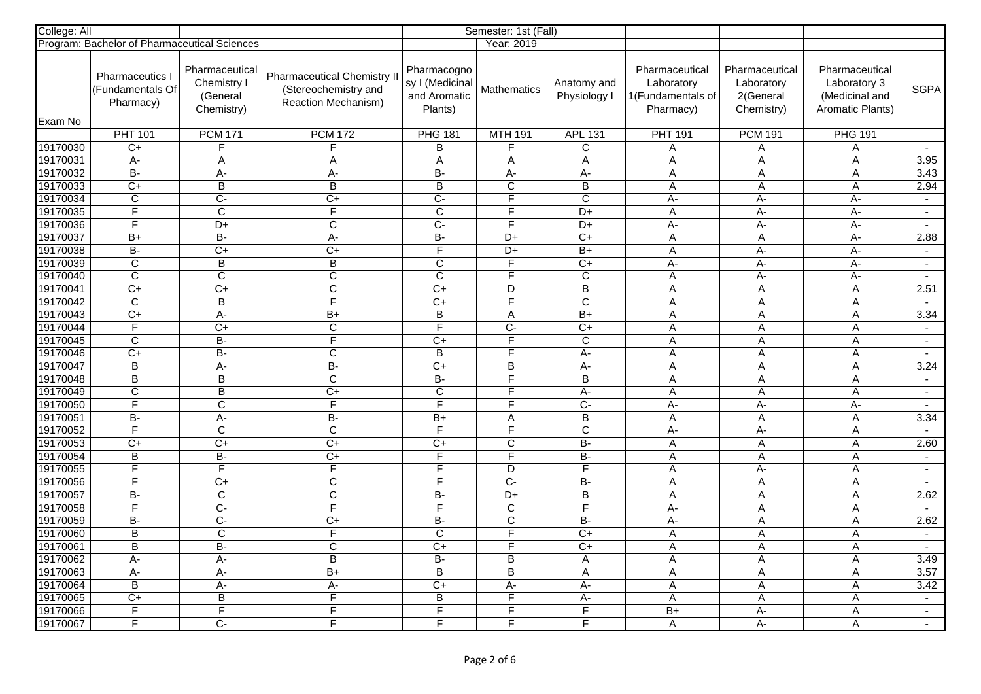| College: All |                                                |                                                         |                                                                                   | Semester: 1st (Fall)                                      |                         |                             |                                                                |                                                         |                                                                             |                             |
|--------------|------------------------------------------------|---------------------------------------------------------|-----------------------------------------------------------------------------------|-----------------------------------------------------------|-------------------------|-----------------------------|----------------------------------------------------------------|---------------------------------------------------------|-----------------------------------------------------------------------------|-----------------------------|
|              | Program: Bachelor of Pharmaceutical Sciences   |                                                         |                                                                                   |                                                           | Year: 2019              |                             |                                                                |                                                         |                                                                             |                             |
|              | Pharmaceutics<br>(Fundamentals Of<br>Pharmacy) | Pharmaceutical<br>Chemistry I<br>(General<br>Chemistry) | <b>Pharmaceutical Chemistry II</b><br>(Stereochemistry and<br>Reaction Mechanism) | Pharmacogno<br>sy I (Medicinal<br>and Aromatic<br>Plants) | <b>Mathematics</b>      | Anatomy and<br>Physiology I | Pharmaceutical<br>Laboratory<br>1(Fundamentals of<br>Pharmacy) | Pharmaceutical<br>Laboratory<br>2(General<br>Chemistry) | Pharmaceutical<br>Laboratory 3<br>(Medicinal and<br><b>Aromatic Plants)</b> | <b>SGPA</b>                 |
| Exam No      | <b>PHT 101</b>                                 | <b>PCM 171</b>                                          | <b>PCM 172</b>                                                                    | <b>PHG 181</b>                                            | <b>MTH 191</b>          |                             | <b>PHT 191</b>                                                 | <b>PCM 191</b>                                          | <b>PHG 191</b>                                                              |                             |
| 19170030     | $C+$                                           | F                                                       | F                                                                                 | B                                                         | F                       | <b>APL 131</b><br>C         | Α                                                              | Α                                                       | Α                                                                           |                             |
| 19170031     | A-                                             | A                                                       | A                                                                                 | A                                                         | Α                       | Α                           | A                                                              | A                                                       | A                                                                           | 3.95                        |
| 19170032     | $\overline{B}$                                 | A-                                                      | A-                                                                                | $\overline{B}$                                            | A-                      | A-                          | A                                                              | $\mathsf A$                                             | $\mathsf A$                                                                 | 3.43                        |
| 19170033     | $C+$                                           | B                                                       | B                                                                                 | B                                                         | $\overline{C}$          | B                           | A                                                              | A                                                       | A                                                                           | 2.94                        |
| 19170034     | $\overline{C}$                                 | $\overline{C}$                                          | $\overline{C}$                                                                    | C-                                                        | F                       | $\overline{C}$              | $A -$                                                          | A-                                                      | $A -$                                                                       | $\sim$                      |
| 19170035     | F                                              | C                                                       | $\overline{F}$                                                                    | $\overline{C}$                                            | F                       | D+                          | Α                                                              | A-                                                      | A-                                                                          | $\sim$                      |
| 19170036     | $\overline{\mathsf{F}}$                        | D+                                                      | $\overline{C}$                                                                    | $\overline{C}$ -                                          | $\overline{\mathsf{F}}$ | D+                          | A-                                                             | A-                                                      | $A -$                                                                       | $\sim$                      |
| 19170037     | $B+$                                           | $\overline{B}$                                          | $A -$                                                                             | B-                                                        | D+                      | $C+$                        | A                                                              | A                                                       | А-                                                                          | 2.88                        |
| 19170038     | $\overline{B}$                                 | $\overline{C+}$                                         | $\overline{C+}$                                                                   | $\overline{\mathsf{F}}$                                   | $\overline{D+}$         | $B+$                        | A                                                              | A-                                                      | A-                                                                          | $\sim$                      |
| 19170039     | $\overline{C}$                                 | B                                                       | $\sf B$                                                                           | $\mathsf{C}$                                              | F.                      | $C+$                        | A-                                                             | A-                                                      | A-                                                                          | $\sim$                      |
| 19170040     | $\overline{\mathsf{C}}$                        | С                                                       | $\overline{C}$                                                                    | $\overline{C}$                                            | F                       | C                           | A                                                              | A-                                                      | $A -$                                                                       | $\sim$                      |
| 19170041     | $\overline{C+}$                                | $\overline{C+}$                                         | $\overline{C}$                                                                    | $\overline{C+}$                                           | D                       | $\overline{B}$              | A                                                              | $\mathsf{A}$                                            | A                                                                           | 2.51                        |
| 19170042     | $\overline{C}$                                 | B                                                       | F                                                                                 | $C+$                                                      | F                       | C                           | A                                                              | A                                                       | A                                                                           | $\sim$                      |
| 19170043     | $\overline{C+}$                                | A-                                                      | $\overline{B+}$                                                                   | B                                                         | A                       | $\overline{B+}$             | A                                                              | $\mathsf A$                                             | A                                                                           | 3.34                        |
| 19170044     | $\overline{F}$                                 | $\overline{C}$                                          | $\overline{C}$                                                                    | F                                                         | $\overline{C}$          | $C+$                        | $\overline{A}$                                                 | $\overline{A}$                                          | $\overline{A}$                                                              | $\sim$                      |
| 19170045     | $\overline{C}$                                 | <b>B-</b>                                               | $\overline{\mathsf{F}}$                                                           | $C+$                                                      | $\overline{\mathsf{F}}$ | C                           | A                                                              | $\mathsf A$                                             | $\mathsf A$                                                                 | $\blacksquare$              |
| 19170046     | $C+$                                           | $\overline{B}$                                          | $\overline{C}$                                                                    | $\overline{B}$                                            | F                       | A-                          | $\overline{\mathsf{A}}$                                        | $\overline{A}$                                          | A                                                                           | $\sim$                      |
| 19170047     | $\overline{B}$                                 | A-                                                      | $\overline{B}$                                                                    | $C+$                                                      | $\overline{B}$          | A-                          | A                                                              | Α                                                       | A                                                                           | 3.24                        |
| 19170048     | $\overline{B}$                                 | B                                                       | C                                                                                 | <b>B-</b>                                                 | $\overline{F}$          | B                           | A                                                              | A                                                       | A                                                                           | $\Delta$                    |
| 19170049     | $\overline{C}$                                 | B                                                       | $\overline{C}$                                                                    | $\mathsf{C}$                                              | F                       | A-                          | A                                                              | A                                                       | A                                                                           | $\mathcal{L}_{\mathcal{A}}$ |
| 19170050     | $\overline{F}$                                 | C                                                       | $\overline{F}$                                                                    | F                                                         | F                       | $C -$                       | A-                                                             | A-                                                      | A-                                                                          | $\sim$                      |
| 19170051     | $B -$                                          | A-                                                      | $B -$                                                                             | $B+$                                                      | A                       | B                           | A                                                              | $\mathsf A$                                             | A                                                                           | 3.34                        |
| 19170052     | F                                              | C                                                       | $\mathsf{C}$                                                                      | F                                                         | F                       | $\mathsf{C}$                | A-                                                             | A-                                                      | Α                                                                           | $\sim$                      |
| 19170053     | $\overline{C+}$                                | $\overline{C+}$                                         | $\overline{C+}$                                                                   | $C+$                                                      | $\overline{C}$          | $\overline{B}$              | Α                                                              | $\overline{A}$                                          | A                                                                           | 2.60                        |
| 19170054     | $\sf B$                                        | B-                                                      | $\overline{C}$                                                                    | F                                                         | F.                      | <b>B-</b>                   | A                                                              | A                                                       | A                                                                           | $\blacksquare$              |
| 19170055     | $\overline{F}$                                 | F                                                       | $\overline{F}$                                                                    | F                                                         | D                       | $\overline{F}$              | $\overline{A}$                                                 | $A -$                                                   | A                                                                           | $\blacksquare$              |
| 19170056     | $\overline{\mathsf{F}}$                        | $\overline{C+}$                                         | $\overline{\text{c}}$                                                             | $\overline{\mathsf{F}}$                                   | $\overline{C}$ -        | $\overline{B}$              | A                                                              | A                                                       | A                                                                           | $\sim$                      |
| 19170057     | <b>B-</b>                                      | C                                                       | $\overline{C}$                                                                    | B-                                                        | D+                      | B                           | A                                                              | A                                                       | A                                                                           | 2.62                        |
| 19170058     | $\overline{\mathsf{F}}$                        | $\overline{C}$                                          | $\overline{\mathsf{F}}$                                                           | $\overline{\mathsf{F}}$                                   | $\mathbf C$             | $\overline{F}$              | A-                                                             | A                                                       | Α                                                                           | $\mathbf{r}$                |
| 19170059     | $B -$                                          | $\overline{C}$                                          | $C+$                                                                              | B-                                                        | $\mathbf C$             | $B -$                       | $A -$                                                          | A                                                       | Α                                                                           | 2.62                        |
| 19170060     | $\overline{B}$                                 | C                                                       | $\overline{F}$                                                                    | $\mathbf C$                                               | F                       | $C+$                        | A                                                              | A                                                       | A                                                                           | $\mathcal{L}_{\mathcal{A}}$ |
| 19170061     | $\overline{B}$                                 | B-                                                      | $\overline{C}$                                                                    | $\overline{C}$                                            | F                       | $\overline{C}$              | A                                                              | A                                                       | A                                                                           | $\sim$                      |
| 19170062     | A-                                             | A-                                                      | $\overline{B}$                                                                    | B-                                                        | B                       | A                           | A                                                              | A                                                       | A                                                                           | 3.49                        |
| 19170063     | A-                                             | A-                                                      | B+                                                                                | B                                                         | B                       | Α                           | A                                                              | $\mathsf A$                                             | A                                                                           | 3.57                        |
| 19170064     | $\overline{B}$                                 | A-                                                      | A-                                                                                | $\overline{C+}$                                           | A-                      | A-                          | A                                                              | A                                                       | Α                                                                           | 3.42                        |
| 19170065     | $C+$                                           | $\overline{B}$                                          | $\overline{F}$                                                                    | B                                                         | $\overline{\mathsf{F}}$ | A-                          | A                                                              | Α                                                       | A                                                                           | $\sim$                      |
| 19170066     | F                                              | F                                                       | F                                                                                 | F                                                         | $\overline{F}$          | F                           | $B+$                                                           | $A -$                                                   | Α                                                                           | $\sim$                      |
| 19170067     | $\overline{\mathsf{F}}$                        | $\overline{C}$                                          | F                                                                                 | F                                                         | F.                      | F                           | A                                                              | A-                                                      | A                                                                           | $\sim$                      |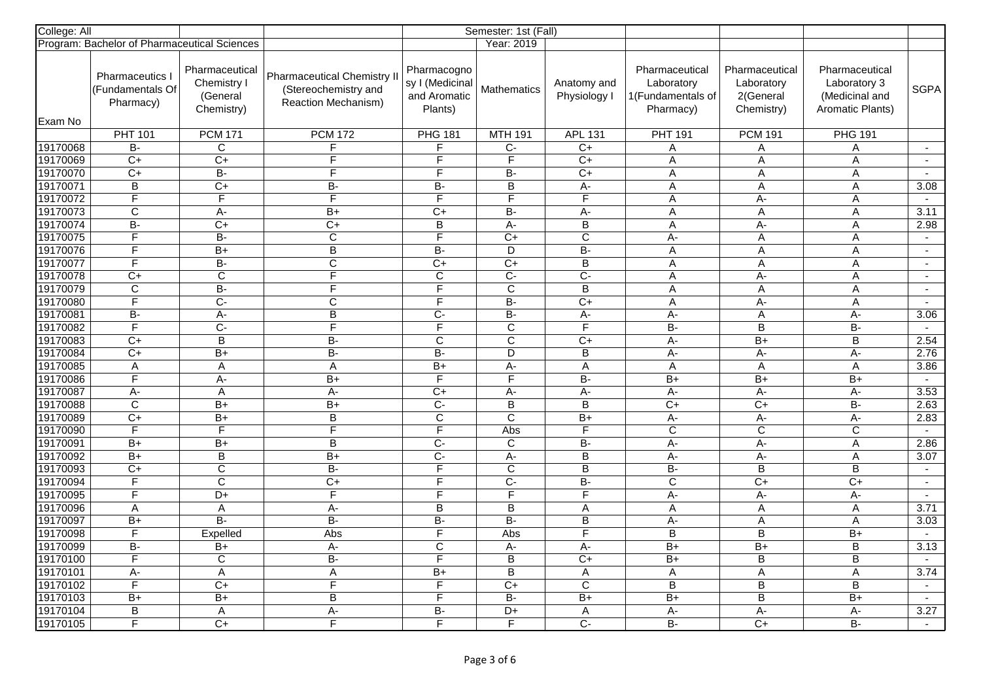| College: All |                                                |                                                         |                                                                                          |                                                           | Semester: 1st (Fall)    |                             |                                                                |                                                         |                                                                             |              |
|--------------|------------------------------------------------|---------------------------------------------------------|------------------------------------------------------------------------------------------|-----------------------------------------------------------|-------------------------|-----------------------------|----------------------------------------------------------------|---------------------------------------------------------|-----------------------------------------------------------------------------|--------------|
|              | Program: Bachelor of Pharmaceutical Sciences   |                                                         |                                                                                          |                                                           | Year: 2019              |                             |                                                                |                                                         |                                                                             |              |
| Exam No      | Pharmaceutics<br>(Fundamentals Of<br>Pharmacy) | Pharmaceutical<br>Chemistry I<br>(General<br>Chemistry) | <b>Pharmaceutical Chemistry II</b><br>(Stereochemistry and<br><b>Reaction Mechanism)</b> | Pharmacogno<br>sy I (Medicinal<br>and Aromatic<br>Plants) | <b>Mathematics</b>      | Anatomy and<br>Physiology I | Pharmaceutical<br>Laboratory<br>1(Fundamentals of<br>Pharmacy) | Pharmaceutical<br>Laboratory<br>2(General<br>Chemistry) | Pharmaceutical<br>Laboratory 3<br>(Medicinal and<br><b>Aromatic Plants)</b> | <b>SGPA</b>  |
|              | <b>PHT 101</b>                                 | <b>PCM 171</b>                                          | <b>PCM 172</b>                                                                           | <b>PHG 181</b>                                            | <b>MTH 191</b>          | <b>APL 131</b>              | <b>PHT 191</b>                                                 | <b>PCM 191</b>                                          | <b>PHG 191</b>                                                              |              |
| 19170068     | B-                                             | С                                                       |                                                                                          | F                                                         | $C -$                   | C+                          | Α                                                              | Α                                                       | Α                                                                           | $\mathbf{r}$ |
| 19170069     | $C+$                                           | $\overline{C}$                                          | F                                                                                        | F                                                         | F                       | $\overline{C}$              | A                                                              | A                                                       | A                                                                           | $\sim$       |
| 19170070     | $\overline{C+}$                                | $\overline{B}$                                          | F                                                                                        | F                                                         | B-                      | $\overline{C+}$             | A                                                              | $\mathsf A$                                             | $\mathsf A$                                                                 | $\sim$       |
| 19170071     | $\overline{B}$                                 | $\overline{C}$                                          | B-                                                                                       | B-                                                        | $\overline{B}$          | $A -$                       | A                                                              | A                                                       | A                                                                           | 3.08         |
| 19170072     | $\overline{\mathsf{F}}$                        | F                                                       | F                                                                                        | F                                                         | F                       | E                           | A                                                              | A-                                                      | A                                                                           | $\sim$       |
| 19170073     | $\overline{C}$                                 | A-                                                      | $\overline{B+}$                                                                          | C+                                                        | B-                      | А-                          | Α                                                              | $\overline{A}$                                          | Α                                                                           | 3.11         |
| 19170074     | $\overline{B}$                                 | $C+$                                                    | $\overline{C+}$                                                                          | B                                                         | $A -$                   | B                           | A                                                              | A-                                                      | A                                                                           | 2.98         |
| 19170075     | $\overline{F}$                                 | <b>B-</b>                                               | $\overline{C}$                                                                           | F                                                         | $C+$                    | C                           | A-                                                             | A                                                       | A                                                                           | $\sim$       |
| 19170076     | $\overline{\mathsf{F}}$                        | $\overline{B+}$                                         | $\overline{B}$                                                                           | <b>B-</b>                                                 | $\overline{D}$          | $\overline{B}$              | A                                                              | $\mathsf A$                                             | A                                                                           | $\sim$       |
| 19170077     | $\overline{\mathsf{F}}$                        | $B -$                                                   | $\overline{C}$                                                                           | C+                                                        | $\overline{C}$          | $\overline{B}$              | A                                                              | A                                                       | A                                                                           | $\sim$       |
| 19170078     | $C+$                                           | С                                                       | F                                                                                        | C                                                         | $\overline{C}$          | $\overline{C}$              | Α                                                              | A-                                                      | Α                                                                           | $\sim$       |
| 19170079     | $\overline{C}$                                 | $\overline{B}$                                          | F                                                                                        | F                                                         | $\overline{C}$          | $\overline{B}$              | $\mathsf{A}$                                                   | $\overline{A}$                                          | A                                                                           | $\sim$       |
| 19170080     | $\overline{F}$                                 | $C-$                                                    | C                                                                                        | F                                                         | B-                      | $C+$                        | A                                                              | A-                                                      | A                                                                           | $\sim$       |
| 19170081     | $\overline{B}$                                 | $\overline{A}$                                          | $\overline{B}$                                                                           | $C -$                                                     | B-                      | A-                          | $A -$                                                          | $\mathsf A$                                             | $A -$                                                                       | 3.06         |
| 19170082     | $\overline{F}$                                 | $\overline{C}$                                          | F                                                                                        | F                                                         | $\overline{\mathrm{c}}$ | $\overline{F}$              | $\overline{B}$                                                 | $\overline{B}$                                          | $\overline{B}$                                                              | $\sim$       |
| 19170083     | $C+$                                           | B                                                       | B-                                                                                       | C                                                         | $\overline{C}$          | $C+$                        | A-                                                             | $B+$                                                    | B                                                                           | 2.54         |
| 19170084     | $C+$                                           | $B+$                                                    | $\overline{B}$                                                                           | $\overline{B}$                                            | D                       | B                           | $A -$                                                          | A-                                                      | A-                                                                          | 2.76         |
| 19170085     | A                                              | A                                                       | A                                                                                        | $\overline{B+}$                                           | A-                      | A                           | A                                                              | A                                                       | A                                                                           | 3.86         |
| 19170086     | $\overline{\mathsf{F}}$                        | A-                                                      | B+                                                                                       | F                                                         | $\overline{F}$          | <b>B-</b>                   | $B+$                                                           | $B+$                                                    | $B+$                                                                        | $\mathbf{r}$ |
| 19170087     | А-                                             | Α                                                       | A-                                                                                       | $\overline{C}$                                            | A-                      | A-                          | $A -$                                                          | A-                                                      | А-                                                                          | 3.53         |
| 19170088     | $\overline{C}$                                 | B+                                                      | B+                                                                                       | $\overline{C}$                                            | $\overline{B}$          | $\sf B$                     | $\overline{C}$                                                 | $\overline{C}$                                          | <b>B-</b>                                                                   | 2.63         |
| 19170089     | $\overline{C+}$                                | $B+$                                                    | $\, {\bf B}$                                                                             | C                                                         | $\overline{\mathsf{C}}$ | B+                          | A-                                                             | А-                                                      | A-                                                                          | 2.83         |
| 19170090     | F                                              | F                                                       | F                                                                                        | F                                                         | Abs                     | F                           | $\mathbf C$                                                    | $\mathbf C$                                             | $\mathbf C$                                                                 | $\sim$       |
| 19170091     | $B+$                                           | $B+$                                                    | $\overline{B}$                                                                           | $\overline{C}$                                            | C                       | $\overline{B}$              | $A -$                                                          | $A -$                                                   | A                                                                           | 2.86         |
| 19170092     | B+                                             | B                                                       | $B+$                                                                                     | $\overline{C}$                                            | A-                      | $\mathsf B$                 | $A -$                                                          | A-                                                      | A                                                                           | 3.07         |
| 19170093     | $C+$                                           | $\overline{C}$                                          | $\overline{B}$                                                                           | F                                                         | $\overline{\text{c}}$   | $\overline{B}$              | $\overline{B}$                                                 | $\overline{B}$                                          | $\overline{B}$                                                              | $\sim$       |
| 19170094     | $\overline{\mathsf{F}}$                        | $\overline{C}$                                          | $\overline{C+}$                                                                          | $\overline{\mathsf{F}}$                                   | $\overline{C}$          | $\overline{B}$              | $\overline{\mathsf{c}}$                                        | $\overline{C+}$                                         | $\overline{C+}$                                                             | $\sim$       |
| 19170095     | F                                              | D+                                                      | F                                                                                        | F                                                         | $\overline{F}$          | $\mathsf{F}$                | A-                                                             | A-                                                      | $A -$                                                                       | $\sim$       |
| 19170096     | A                                              | Α                                                       | А-                                                                                       | $\sf B$                                                   | B                       | A                           | A                                                              | A                                                       | Α                                                                           | 3.71         |
| 19170097     | B+                                             | $B -$                                                   | B-                                                                                       | $B -$                                                     | B-                      | B                           | А-                                                             | Α                                                       | Α                                                                           | 3.03         |
| 19170098     | $\overline{F}$                                 | Expelled                                                | Abs                                                                                      | F                                                         | Abs                     | $\overline{\mathsf{F}}$     | B                                                              | $\overline{B}$                                          | $\overline{B+}$                                                             | $\mathbf{r}$ |
| 19170099     | B-                                             | B+                                                      | A-                                                                                       | C                                                         | A-                      | $\overline{A}$ -            | $B+$                                                           | $B+$                                                    | $\sf B$                                                                     | 3.13         |
| 19170100     | $\overline{F}$                                 | $\mathsf C$                                             | $\overline{B}$                                                                           | $\overline{\mathsf{F}}$                                   | B                       | $C+$                        | $B+$                                                           | $\overline{B}$                                          | B                                                                           | $\sim$       |
| 19170101     | A-                                             | A                                                       | $\mathsf A$                                                                              | $B+$                                                      | B                       | Α                           | $\overline{A}$                                                 | A                                                       | A                                                                           | 3.74         |
| 19170102     | $\mathsf F$                                    | $\overline{C+}$                                         | F                                                                                        | F<br>F                                                    | $\overline{C+}$         | $\overline{C}$              | $\overline{B}$                                                 | $\overline{B}$                                          | $\overline{B}$                                                              | $\sim$       |
| 19170103     | $B+$                                           | $B+$                                                    | $\overline{B}$                                                                           |                                                           | $\overline{B}$          | $B+$                        | $B+$                                                           | $\overline{B}$                                          | $B+$                                                                        | $\sim$       |
| 19170104     | $\overline{B}$                                 | Α                                                       | $A -$                                                                                    | B-                                                        | D+                      | Α                           | $A -$                                                          | $A -$                                                   | А-                                                                          | 3.27         |
| 19170105     | $\overline{\mathsf{F}}$                        | $\overline{C+}$                                         | F                                                                                        | F                                                         | F                       | Ċ-                          | $\overline{B}$                                                 | $\overline{C+}$                                         | $\overline{B}$                                                              | $\sim$       |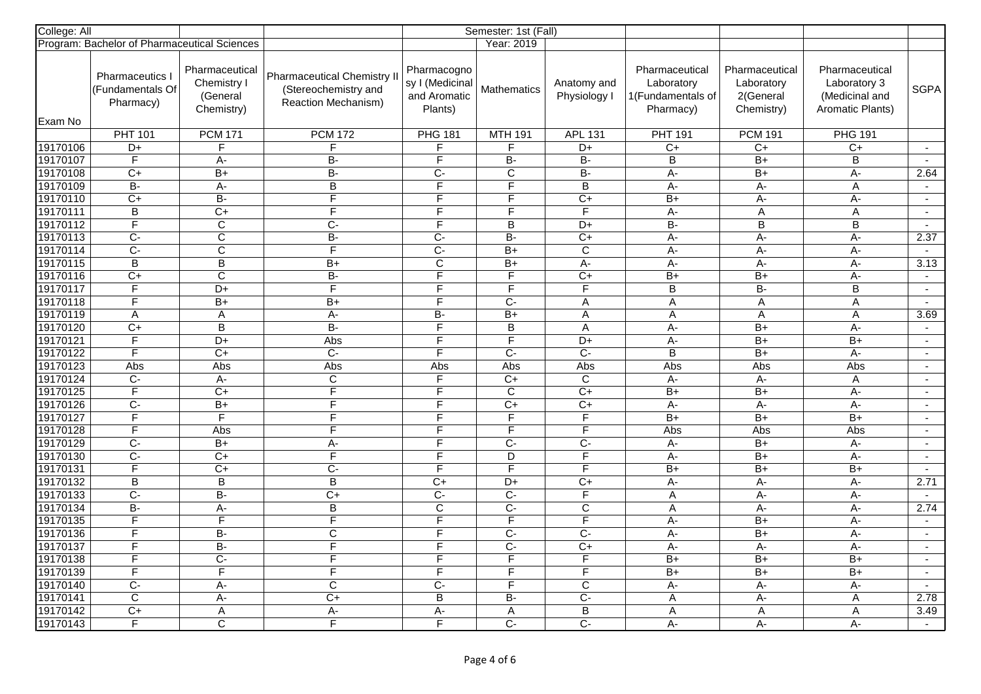| College: All         |                                                |                                                         | Semester: 1st (Fall)                                                              |                                                           |                         |                             |                                                                |                                                         |                                                                             |                          |
|----------------------|------------------------------------------------|---------------------------------------------------------|-----------------------------------------------------------------------------------|-----------------------------------------------------------|-------------------------|-----------------------------|----------------------------------------------------------------|---------------------------------------------------------|-----------------------------------------------------------------------------|--------------------------|
|                      | Program: Bachelor of Pharmaceutical Sciences   |                                                         |                                                                                   |                                                           | Year: 2019              |                             |                                                                |                                                         |                                                                             |                          |
|                      | Pharmaceutics<br>(Fundamentals Of<br>Pharmacy) | Pharmaceutical<br>Chemistry I<br>(General<br>Chemistry) | <b>Pharmaceutical Chemistry II</b><br>(Stereochemistry and<br>Reaction Mechanism) | Pharmacogno<br>sy I (Medicinal<br>and Aromatic<br>Plants) | <b>Mathematics</b>      | Anatomy and<br>Physiology I | Pharmaceutical<br>Laboratory<br>1(Fundamentals of<br>Pharmacy) | Pharmaceutical<br>Laboratory<br>2(General<br>Chemistry) | Pharmaceutical<br>Laboratory 3<br>(Medicinal and<br><b>Aromatic Plants)</b> | <b>SGPA</b>              |
| Exam No              | <b>PHT 101</b>                                 | <b>PCM 171</b>                                          | <b>PCM 172</b>                                                                    |                                                           | <b>MTH 191</b>          |                             | <b>PHT 191</b>                                                 | <b>PCM 191</b>                                          |                                                                             |                          |
|                      | D+                                             | F                                                       | F                                                                                 | <b>PHG 181</b><br>F                                       | F.                      | <b>APL 131</b><br>D+        |                                                                |                                                         | <b>PHG 191</b>                                                              | $\sim$                   |
| 19170106<br>19170107 | F                                              | A-                                                      | <b>B-</b>                                                                         | F                                                         | <b>B-</b>               | B-                          | C+<br>$\overline{B}$                                           | C+<br>$B+$                                              | $C+$<br>B                                                                   |                          |
| 19170108             | $\overline{C+}$                                | $\overline{B+}$                                         | $\overline{B}$                                                                    | Ċ-                                                        | C                       | $\overline{B}$              | A-                                                             | $\overline{B+}$                                         | A-                                                                          | 2.64                     |
| 19170109             | B-                                             | A-                                                      | B                                                                                 | F                                                         | $\overline{F}$          | B                           | A-                                                             | $A -$                                                   | A                                                                           | $\sim$                   |
| 19170110             | $\overline{C+}$                                | $\overline{B}$                                          | F                                                                                 | F                                                         | F                       | $C+$                        | $\overline{B+}$                                                | $\overline{A}$ -                                        | $A -$                                                                       | $\sim$                   |
| 19170111             | $\overline{B}$                                 | $\overline{C}$                                          | F                                                                                 | F                                                         | F                       | $\mathsf F$                 | A-                                                             | $\overline{A}$                                          |                                                                             | $\sim$                   |
| 19170112             | $\overline{\mathsf{F}}$                        |                                                         | $\overline{C}$                                                                    | E                                                         | B                       | D+                          | <b>B-</b>                                                      | $\overline{B}$                                          | Α<br>B                                                                      | $\sim$                   |
| 19170113             |                                                | C                                                       |                                                                                   |                                                           | B-                      |                             |                                                                |                                                         |                                                                             | 2.37                     |
|                      | $\overline{C}$                                 | С                                                       | $\overline{B}$<br>$\overline{\mathsf{F}}$                                         | Ċ-                                                        |                         | $C+$                        | A-                                                             | А-                                                      | A-                                                                          |                          |
| 19170114             | $\overline{C}$                                 | $\overline{\text{c}}$                                   |                                                                                   | $\overline{C}$                                            | $B+$                    | $\overline{c}$              | $A -$                                                          | A-                                                      | A-                                                                          | $\sim$                   |
| 19170115             | $\overline{B}$                                 | B                                                       | B+                                                                                | $\mathbf C$<br>F                                          | B+                      | A-                          | A-                                                             | A-                                                      | A-                                                                          | 3.13                     |
| 19170116             | $C+$                                           | С                                                       | $B -$                                                                             |                                                           | F.                      | $\overline{C+}$             | $B+$                                                           | $B+$                                                    | $A -$                                                                       | $\mathbf{r}$             |
| 19170117             | F                                              | D+                                                      | $\overline{\mathsf{F}}$                                                           | F                                                         | F                       | F                           | $\overline{B}$                                                 | $\overline{B}$                                          | B                                                                           | $\sim$                   |
| 19170118             | $\overline{F}$                                 | $B+$                                                    | B+                                                                                | F                                                         | $C -$                   | Α                           | A                                                              | A                                                       | A                                                                           | $\sim$                   |
| 19170119             | $\mathsf A$                                    | A                                                       | $A -$                                                                             | B-                                                        | $B+$                    | A                           | A                                                              | $\mathsf A$                                             | A                                                                           | 3.69                     |
| 19170120             | $\overline{C+}$                                | $\overline{B}$                                          | $\overline{B}$                                                                    | F                                                         | $\overline{B}$          | $\overline{A}$              | $A -$                                                          | $B+$                                                    | $A -$                                                                       | $\sim$                   |
| 19170121             | $\overline{\mathsf{F}}$                        | D+                                                      | Abs                                                                               | E                                                         | $\overline{\mathsf{F}}$ | $D+$                        | A-                                                             | $B+$                                                    | $B+$                                                                        | $\sim$                   |
| 19170122             | $\overline{\mathsf{F}}$                        | $C+$                                                    | $\overline{C}$                                                                    | F                                                         | $\overline{C}$          | $\overline{C}$              | $\overline{B}$                                                 | $B+$                                                    | A-                                                                          | $\sim$                   |
| 19170123             | Abs                                            | Abs                                                     | Abs                                                                               | Abs                                                       | Abs                     | Abs                         | Abs                                                            | Abs                                                     | Abs                                                                         | $\sim$                   |
| 19170124             | $C-$                                           | $A -$                                                   | C                                                                                 | F                                                         | $C+$                    | C                           | $A -$                                                          | $A -$                                                   | A                                                                           | $\mathbf{r}$             |
| 19170125             | $\overline{F}$                                 | $\overline{C}$                                          | F                                                                                 | F                                                         | $\mathsf C$             | $\overline{C}$              | $B+$                                                           | $B+$                                                    | $A -$                                                                       | $\sim$                   |
| 19170126             | $C -$                                          | $B+$                                                    | $\overline{F}$                                                                    | F                                                         | $\overline{C}$          | $\overline{C}$              | $A -$                                                          | A-                                                      | A-                                                                          | $\overline{\phantom{a}}$ |
| 19170127             | $\overline{\mathsf{F}}$                        | $\overline{\mathsf{F}}$                                 | $\overline{F}$                                                                    | F                                                         | F                       | F                           | $B+$                                                           | $B+$                                                    | $B+$                                                                        | $\sim$                   |
| 19170128             | F                                              | Abs                                                     | F                                                                                 | F                                                         | F                       | F                           | Abs                                                            | Abs                                                     | Abs                                                                         | $\overline{a}$           |
| 19170129             | $\overline{C}$                                 | $B+$                                                    | A-                                                                                | F                                                         | $\overline{C}$          | $\overline{C}$              | $A -$                                                          | $B+$                                                    | $A -$                                                                       | $\sim$                   |
| 19170130             | $C -$                                          | C+                                                      | $\overline{F}$                                                                    | F                                                         | D                       | F                           | $A -$                                                          | $B+$                                                    | A-                                                                          | $\blacksquare$           |
| 19170131             | $\overline{F}$                                 | $\overline{C}$                                          | $\overline{C}$                                                                    | F                                                         | $\overline{\mathsf{F}}$ | F                           | $B+$                                                           | $B+$                                                    | $B+$                                                                        | $\sim$                   |
| 19170132             | $\overline{\mathsf{B}}$                        | $\overline{B}$                                          | $\overline{\mathsf{B}}$                                                           | $\overline{C+}$                                           | D+                      | $\overline{C+}$             | A-                                                             | A-                                                      | $A -$                                                                       | 2.71                     |
| 19170133             | $\overline{C}$                                 | <b>B-</b>                                               | $C+$                                                                              | $C-$                                                      | $C-$                    | F                           | A                                                              | A-                                                      | $A -$                                                                       | $\sim$                   |
| 19170134             | $\overline{B}$                                 | A-                                                      | B                                                                                 | $\mathsf{C}$                                              | $\overline{C}$          | $\mathsf{C}$                | A                                                              | A-                                                      | A-                                                                          | 2.74                     |
| 19170135             | $\overline{F}$                                 | F                                                       | $\overline{\mathsf{F}}$                                                           | $\overline{\mathsf{F}}$                                   | $\overline{F}$          | $\overline{\mathsf{F}}$     | А-                                                             | B+                                                      | A-                                                                          | $\sim$                   |
| 19170136             | $\overline{\mathsf{F}}$                        | B-                                                      | C                                                                                 | F                                                         | $C -$                   | $\overline{C}$              | A-                                                             | $\overline{B+}$                                         | $A -$                                                                       | $\mathbf{r}$             |
| 19170137             | F                                              | B-                                                      | F                                                                                 | F                                                         | $C -$                   | $\overline{C}$              | $A -$                                                          | $A -$                                                   | $A -$                                                                       | $\sim$                   |
| 19170138             | F                                              | $\overline{C}$                                          | $\overline{F}$                                                                    | F                                                         | $\overline{\mathsf{F}}$ | F                           | $B+$                                                           | $B+$                                                    | $B+$                                                                        | $\sim$                   |
| 19170139             | F                                              | F                                                       | F                                                                                 | E                                                         | F.                      | E                           | $B+$                                                           | $B+$                                                    | $B+$                                                                        | $\blacksquare$           |
| 19170140             | $\overline{C}$ -                               | A-                                                      | $\overline{C}$                                                                    | $\overline{C}$ -                                          | F                       | $\overline{C}$              | $A -$                                                          | A-                                                      | A-                                                                          | $\overline{a}$           |
| 19170141             | $\overline{\mathsf{c}}$                        | A-                                                      | $\overline{C+}$                                                                   | $\overline{B}$                                            | $B -$                   | $\overline{C}$              | A                                                              | $A -$                                                   | A                                                                           | 2.78                     |
| 19170142             | $C+$                                           | Α                                                       | А-                                                                                | $A -$                                                     | Α                       | $\overline{B}$              | $\overline{A}$                                                 | $\overline{A}$                                          | A                                                                           | 3.49                     |
| 19170143             | F                                              | $\overline{\text{c}}$                                   | F                                                                                 | F                                                         | $\overline{C}$          | $\overline{C}$ -            | $A -$                                                          | A-                                                      | $A -$                                                                       | $\sim$                   |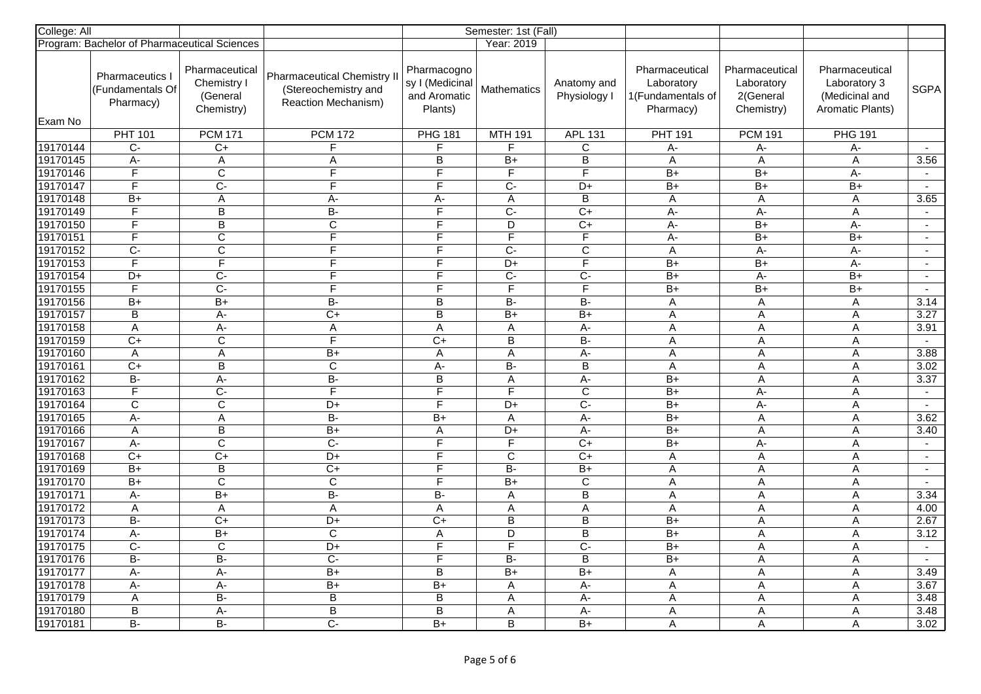| College: All |                                                |                                                         |                                                                                   | Semester: 1st (Fall)                                      |                      |                             |                                                                |                                                         |                                                                             |                          |
|--------------|------------------------------------------------|---------------------------------------------------------|-----------------------------------------------------------------------------------|-----------------------------------------------------------|----------------------|-----------------------------|----------------------------------------------------------------|---------------------------------------------------------|-----------------------------------------------------------------------------|--------------------------|
|              | Program: Bachelor of Pharmaceutical Sciences   |                                                         |                                                                                   |                                                           | Year: 2019           |                             |                                                                |                                                         |                                                                             |                          |
|              | Pharmaceutics<br>(Fundamentals Of<br>Pharmacy) | Pharmaceutical<br>Chemistry I<br>(General<br>Chemistry) | <b>Pharmaceutical Chemistry II</b><br>(Stereochemistry and<br>Reaction Mechanism) | Pharmacogno<br>sy I (Medicinal<br>and Aromatic<br>Plants) | <b>Mathematics</b>   | Anatomy and<br>Physiology I | Pharmaceutical<br>Laboratory<br>1(Fundamentals of<br>Pharmacy) | Pharmaceutical<br>Laboratory<br>2(General<br>Chemistry) | Pharmaceutical<br>Laboratory 3<br>(Medicinal and<br><b>Aromatic Plants)</b> | <b>SGPA</b>              |
| Exam No      | <b>PHT 101</b>                                 | <b>PCM 171</b>                                          | <b>PCM 172</b>                                                                    | <b>PHG 181</b>                                            |                      |                             | <b>PHT 191</b>                                                 | <b>PCM 191</b>                                          | <b>PHG 191</b>                                                              |                          |
| 19170144     | C-                                             | $C+$                                                    | F                                                                                 | F                                                         | <b>MTH 191</b><br>F. | <b>APL 131</b><br>C         | А-                                                             | А-                                                      | А-                                                                          |                          |
| 19170145     | A-                                             | A                                                       | A                                                                                 | $\overline{B}$                                            | $B+$                 | $\sf B$                     | A                                                              | A                                                       | A                                                                           | 3.56                     |
| 19170146     | $\overline{F}$                                 | $\overline{C}$                                          | F                                                                                 | F                                                         | F                    | F                           | $B+$                                                           | $\overline{B+}$                                         | A-                                                                          | $\sim$                   |
| 19170147     | $\overline{\mathsf{F}}$                        | $\overline{C}$                                          | $\overline{F}$                                                                    | F                                                         | $\overline{C}$       | D+                          | $B+$                                                           | $B+$                                                    | $B+$                                                                        | $\sim$                   |
| 19170148     | $B+$                                           | A                                                       | $A -$                                                                             | A-                                                        | A                    | $\overline{\mathsf{B}}$     | A                                                              | $\mathsf A$                                             | A                                                                           | 3.65                     |
| 19170149     | F                                              | B                                                       | $\overline{B}$                                                                    | F                                                         | $C-$                 | $C+$                        | A-                                                             | А-                                                      | Α                                                                           | $\sim$                   |
| 19170150     | $\overline{\mathsf{F}}$                        | B                                                       | $\overline{C}$                                                                    | E                                                         | D                    | $C+$                        | $A -$                                                          | $B+$                                                    | $A -$                                                                       | $\mathbf{r}$             |
| 19170151     | F                                              | С                                                       | F                                                                                 | F                                                         | F                    | F                           | $A -$                                                          | B+                                                      | $B+$                                                                        | $\sim$                   |
| 19170152     | $\overline{C}$                                 | $\overline{\text{c}}$                                   | $\overline{F}$                                                                    | F                                                         | $\overline{C}$       | $\overline{c}$              | A                                                              | A-                                                      | A-                                                                          | $\sim$                   |
| 19170153     | $\overline{\mathsf{F}}$                        | F                                                       | F                                                                                 | F                                                         | D+                   | E                           | B+                                                             | $B+$                                                    | A-                                                                          | $\sim$                   |
| 19170154     | D+                                             | $\overline{C}$                                          | $\overline{F}$                                                                    | F                                                         | $\overline{C}$ -     | $\overline{C}$ -            | $B+$                                                           | А-                                                      | $B+$                                                                        | $\overline{\phantom{a}}$ |
| 19170155     | $\overline{\mathsf{F}}$                        | $\overline{C}$                                          | F                                                                                 | E                                                         | F                    | F                           | $B+$                                                           | $B+$                                                    | $B+$                                                                        | $\sim$                   |
| 19170156     | $B+$                                           | $B+$                                                    | B-                                                                                | B                                                         | B-                   | <b>B-</b>                   | A                                                              | A                                                       | A                                                                           | 3.14                     |
| 19170157     | $\sf B$                                        | A-                                                      | $\overline{C}$                                                                    | B                                                         | $B+$                 | $B+$                        | A                                                              | $\mathsf A$                                             | A                                                                           | 3.27                     |
| 19170158     | $\overline{A}$                                 | $A -$                                                   | $\boldsymbol{\mathsf{A}}$                                                         | $\overline{A}$                                            | $\overline{A}$       | $A -$                       | $\overline{A}$                                                 | $\overline{A}$                                          | $\overline{A}$                                                              | 3.91                     |
| 19170159     | $C+$                                           | C                                                       | $\overline{\mathsf{F}}$                                                           | $C+$                                                      | B                    | <b>B-</b>                   | A                                                              | $\mathsf A$                                             | $\mathsf A$                                                                 | $\sim$                   |
| 19170160     | $\overline{A}$                                 | A                                                       | $B+$                                                                              | $\overline{\mathsf{A}}$                                   | A                    | A-                          | A                                                              | $\overline{A}$                                          | A                                                                           | 3.88                     |
| 19170161     | $C+$                                           | B                                                       | $\overline{C}$                                                                    | A-                                                        | $\overline{B}$       | $\overline{B}$              | A                                                              | Α                                                       | A                                                                           | 3.02                     |
| 19170162     | $B -$                                          | $A -$                                                   | B-                                                                                | B                                                         | A                    | $A -$                       | $B+$                                                           | A                                                       | A                                                                           | 3.37                     |
| 19170163     | F                                              | $\overline{C}$                                          | F                                                                                 | F                                                         | F.                   | $\mathsf{C}$                | $B+$                                                           | A-                                                      | A                                                                           | $\sim$                   |
| 19170164     | $\overline{C}$                                 | $\mathsf{C}$                                            | D+                                                                                | F                                                         | D+                   | $\overline{C}$              | $B+$                                                           | A-                                                      | A                                                                           | $\sim$                   |
| 19170165     | $A -$                                          | Α                                                       | $B -$                                                                             | $B+$                                                      | A                    | $A -$                       | $B+$                                                           | $\mathsf A$                                             | A                                                                           | 3.62                     |
| 19170166     | A                                              | $\mathsf B$                                             | $B+$                                                                              | A                                                         | D+                   | A-                          | $\overline{B+}$                                                | A                                                       | Α                                                                           | 3.40                     |
| 19170167     | $A -$                                          | $\overline{\mathsf{c}}$                                 | $\overline{C}$                                                                    | F                                                         | $\overline{F}$       | $\overline{C+}$             | $\overline{B+}$                                                | A-                                                      | A                                                                           | $\sim$                   |
| 19170168     | $C+$                                           | $\overline{C}$                                          | $D+$                                                                              | F                                                         | $\mathbf C$          | $C+$                        | A                                                              | $\mathsf A$                                             | A                                                                           | $\sim$                   |
| 19170169     | $B+$                                           | $\overline{B}$                                          | $\overline{C}$                                                                    | F                                                         | $\overline{B}$       | $B+$                        | $\overline{A}$                                                 | $\overline{A}$                                          | A                                                                           | $\sim$                   |
| 19170170     | $\overline{B+}$                                | $\overline{\text{c}}$                                   | $\overline{\text{c}}$                                                             | $\overline{\mathsf{F}}$                                   | $\overline{B+}$      | $\overline{C}$              | A                                                              | A                                                       | A                                                                           | $\sim$                   |
| 19170171     | $A -$                                          | $B+$                                                    | $B -$                                                                             | B-                                                        | Α                    | $\overline{B}$              | A                                                              | A                                                       | A                                                                           | 3.34                     |
| 19170172     | $\mathsf A$                                    | A                                                       | $\overline{A}$                                                                    | A                                                         | Α                    | $\overline{A}$              | A                                                              | A                                                       | Α                                                                           | 4.00                     |
| 19170173     | <b>B-</b>                                      | C+                                                      | D+                                                                                | $C+$                                                      | B                    | B                           | $B+$                                                           | A                                                       | Α                                                                           | 2.67                     |
| 19170174     | A-                                             | $B+$                                                    | $\mathsf{C}$                                                                      | Α                                                         | D                    | $\overline{B}$              | $\overline{B+}$                                                | $\mathsf A$                                             | A                                                                           | 3.12                     |
| 19170175     | $C -$                                          | C                                                       | D+                                                                                | F                                                         | F                    | $C -$                       | $B+$                                                           | $\overline{A}$                                          | $\overline{A}$                                                              | $\sim$                   |
| 19170176     | $\overline{B}$                                 | B-                                                      | $\overline{C}$                                                                    | F                                                         | B-                   | $\overline{B}$              | $B+$                                                           | A                                                       | A                                                                           | $\sim$                   |
| 19170177     | A-                                             | A-                                                      | B+                                                                                | B                                                         | $B+$                 | $B+$                        | A                                                              | $\mathsf A$                                             | A                                                                           | 3.49                     |
| 19170178     | A-                                             | A-                                                      | $B+$                                                                              | $B+$                                                      | Α                    | A-                          | A                                                              | A                                                       | Α                                                                           | 3.67                     |
| 19170179     | A                                              | $\overline{B}$                                          | $\overline{\mathsf{B}}$                                                           | $\overline{B}$                                            | Α                    | A-                          | A                                                              | $\mathsf{A}$                                            | A                                                                           | 3.48                     |
| 19170180     | $\overline{B}$                                 | А-                                                      | $\overline{B}$                                                                    | B                                                         | Α                    | A-                          | $\overline{A}$                                                 | $\overline{A}$                                          | Α                                                                           | 3.48                     |
| 19170181     | $\overline{B}$                                 | $\overline{B}$                                          | $\overline{C}$                                                                    | B+                                                        | $\overline{B}$       | B+                          | A                                                              | Α                                                       | A                                                                           | 3.02                     |